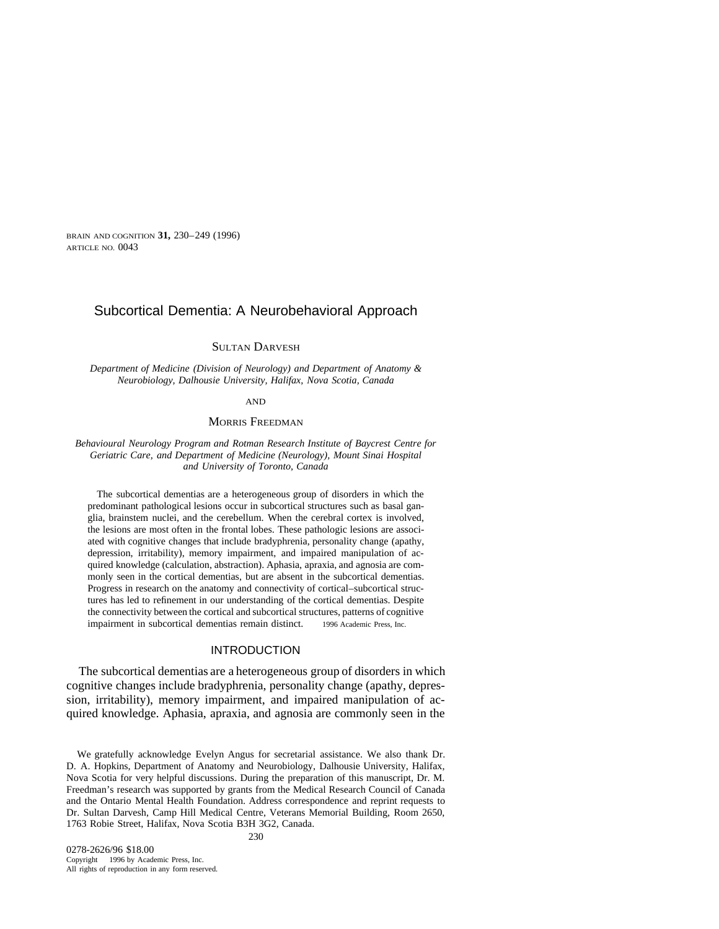# Subcortical Dementia: A Neurobehavioral Approach

SULTAN DARVESH

*Department of Medicine (Division of Neurology) and Department of Anatomy & Neurobiology, Dalhousie University, Halifax, Nova Scotia, Canada*

AND

#### MORRIS FREEDMAN

*Behavioural Neurology Program and Rotman Research Institute of Baycrest Centre for Geriatric Care, and Department of Medicine (Neurology), Mount Sinai Hospital and University of Toronto, Canada*

The subcortical dementias are a heterogeneous group of disorders in which the predominant pathological lesions occur in subcortical structures such as basal ganglia, brainstem nuclei, and the cerebellum. When the cerebral cortex is involved, the lesions are most often in the frontal lobes. These pathologic lesions are associated with cognitive changes that include bradyphrenia, personality change (apathy, depression, irritability), memory impairment, and impaired manipulation of acquired knowledge (calculation, abstraction). Aphasia, apraxia, and agnosia are commonly seen in the cortical dementias, but are absent in the subcortical dementias. Progress in research on the anatomy and connectivity of cortical–subcortical structures has led to refinement in our understanding of the cortical dementias. Despite the connectivity between the cortical and subcortical structures, patterns of cognitive impairment in subcortical dementias remain distinct.  $\circ$  1996 Academic Press, Inc.

#### INTRODUCTION

The subcortical dementias are a heterogeneous group of disorders in which cognitive changes include bradyphrenia, personality change (apathy, depression, irritability), memory impairment, and impaired manipulation of acquired knowledge. Aphasia, apraxia, and agnosia are commonly seen in the

We gratefully acknowledge Evelyn Angus for secretarial assistance. We also thank Dr. D. A. Hopkins, Department of Anatomy and Neurobiology, Dalhousie University, Halifax, Nova Scotia for very helpful discussions. During the preparation of this manuscript, Dr. M. Freedman's research was supported by grants from the Medical Research Council of Canada and the Ontario Mental Health Foundation. Address correspondence and reprint requests to Dr. Sultan Darvesh, Camp Hill Medical Centre, Veterans Memorial Building, Room 2650, 1763 Robie Street, Halifax, Nova Scotia B3H 3G2, Canada.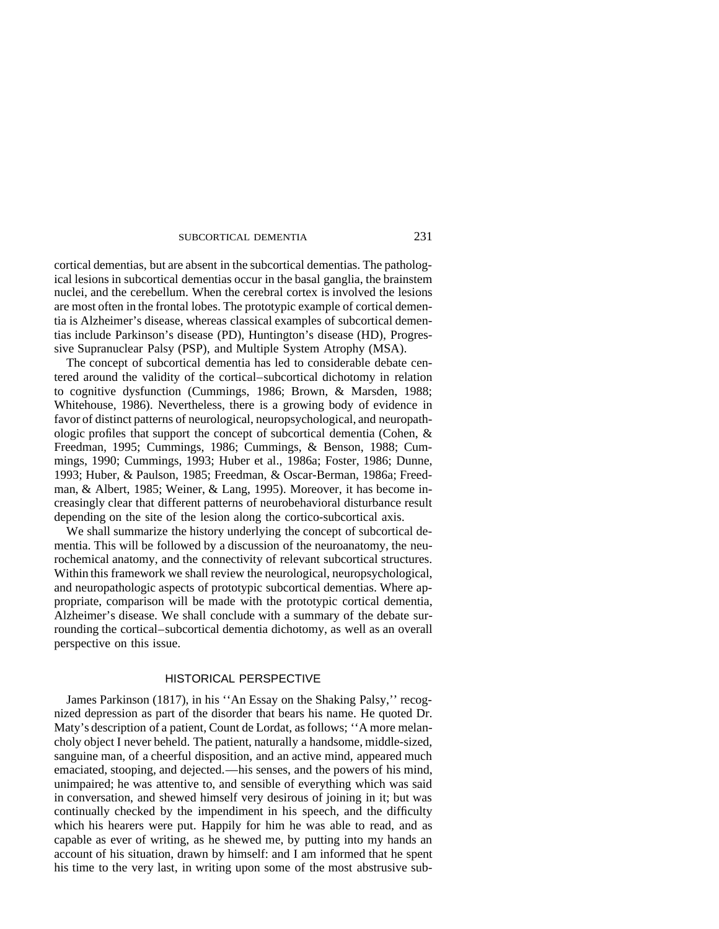cortical dementias, but are absent in the subcortical dementias. The pathological lesions in subcortical dementias occur in the basal ganglia, the brainstem nuclei, and the cerebellum. When the cerebral cortex is involved the lesions are most often in the frontal lobes. The prototypic example of cortical dementia is Alzheimer's disease, whereas classical examples of subcortical dementias include Parkinson's disease (PD), Huntington's disease (HD), Progressive Supranuclear Palsy (PSP), and Multiple System Atrophy (MSA).

The concept of subcortical dementia has led to considerable debate centered around the validity of the cortical–subcortical dichotomy in relation to cognitive dysfunction (Cummings, 1986; Brown, & Marsden, 1988; Whitehouse, 1986). Nevertheless, there is a growing body of evidence in favor of distinct patterns of neurological, neuropsychological, and neuropathologic profiles that support the concept of subcortical dementia (Cohen, & Freedman, 1995; Cummings, 1986; Cummings, & Benson, 1988; Cummings, 1990; Cummings, 1993; Huber et al., 1986a; Foster, 1986; Dunne, 1993; Huber, & Paulson, 1985; Freedman, & Oscar-Berman, 1986a; Freedman, & Albert, 1985; Weiner, & Lang, 1995). Moreover, it has become increasingly clear that different patterns of neurobehavioral disturbance result depending on the site of the lesion along the cortico-subcortical axis.

We shall summarize the history underlying the concept of subcortical dementia. This will be followed by a discussion of the neuroanatomy, the neurochemical anatomy, and the connectivity of relevant subcortical structures. Within this framework we shall review the neurological, neuropsychological, and neuropathologic aspects of prototypic subcortical dementias. Where appropriate, comparison will be made with the prototypic cortical dementia, Alzheimer's disease. We shall conclude with a summary of the debate surrounding the cortical–subcortical dementia dichotomy, as well as an overall perspective on this issue.

### HISTORICAL PERSPECTIVE

James Parkinson (1817), in his ''An Essay on the Shaking Palsy,'' recognized depression as part of the disorder that bears his name. He quoted Dr. Maty's description of a patient, Count de Lordat, as follows; ''A more melancholy object I never beheld. The patient, naturally a handsome, middle-sized, sanguine man, of a cheerful disposition, and an active mind, appeared much emaciated, stooping, and dejected.—his senses, and the powers of his mind, unimpaired; he was attentive to, and sensible of everything which was said in conversation, and shewed himself very desirous of joining in it; but was continually checked by the impendiment in his speech, and the difficulty which his hearers were put. Happily for him he was able to read, and as capable as ever of writing, as he shewed me, by putting into my hands an account of his situation, drawn by himself: and I am informed that he spent his time to the very last, in writing upon some of the most abstrusive sub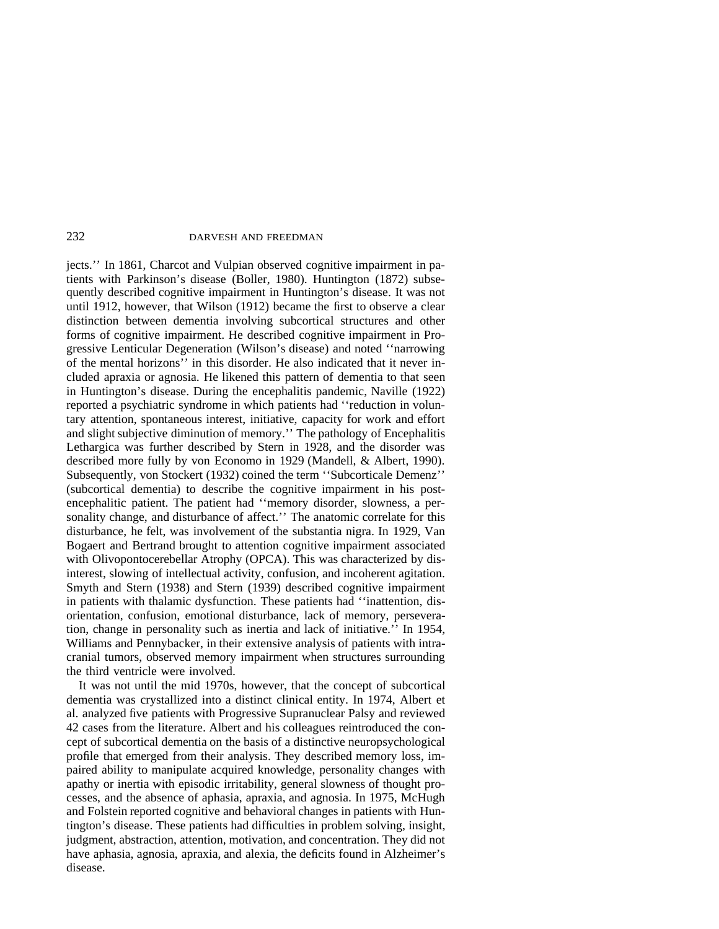jects." In 1861, Charcot and Vulpian observed cognitive impairment in patients with Parkinson's disease (Boller, 1980). Huntington (1872) subsequently described cognitive impairment in Huntington's disease. It was not until 1912, however, that Wilson (1912) became the first to observe a clear distinction between dementia involving subcortical structures and other forms of cognitive impairment. He described cognitive impairment in Progressive Lenticular Degeneration (Wilson's disease) and noted ''narrowing of the mental horizons'' in this disorder. He also indicated that it never included apraxia or agnosia. He likened this pattern of dementia to that seen in Huntington's disease. During the encephalitis pandemic, Naville (1922) reported a psychiatric syndrome in which patients had ''reduction in voluntary attention, spontaneous interest, initiative, capacity for work and effort and slight subjective diminution of memory.'' The pathology of Encephalitis Lethargica was further described by Stern in 1928, and the disorder was described more fully by von Economo in 1929 (Mandell, & Albert, 1990). Subsequently, von Stockert (1932) coined the term ''Subcorticale Demenz'' (subcortical dementia) to describe the cognitive impairment in his postencephalitic patient. The patient had ''memory disorder, slowness, a personality change, and disturbance of affect.'' The anatomic correlate for this disturbance, he felt, was involvement of the substantia nigra. In 1929, Van Bogaert and Bertrand brought to attention cognitive impairment associated with Olivopontocerebellar Atrophy (OPCA). This was characterized by disinterest, slowing of intellectual activity, confusion, and incoherent agitation. Smyth and Stern (1938) and Stern (1939) described cognitive impairment in patients with thalamic dysfunction. These patients had ''inattention, disorientation, confusion, emotional disturbance, lack of memory, perseveration, change in personality such as inertia and lack of initiative.'' In 1954, Williams and Pennybacker, in their extensive analysis of patients with intracranial tumors, observed memory impairment when structures surrounding the third ventricle were involved.

It was not until the mid 1970s, however, that the concept of subcortical dementia was crystallized into a distinct clinical entity. In 1974, Albert et al. analyzed five patients with Progressive Supranuclear Palsy and reviewed 42 cases from the literature. Albert and his colleagues reintroduced the concept of subcortical dementia on the basis of a distinctive neuropsychological profile that emerged from their analysis. They described memory loss, impaired ability to manipulate acquired knowledge, personality changes with apathy or inertia with episodic irritability, general slowness of thought processes, and the absence of aphasia, apraxia, and agnosia. In 1975, McHugh and Folstein reported cognitive and behavioral changes in patients with Huntington's disease. These patients had difficulties in problem solving, insight, judgment, abstraction, attention, motivation, and concentration. They did not have aphasia, agnosia, apraxia, and alexia, the deficits found in Alzheimer's disease.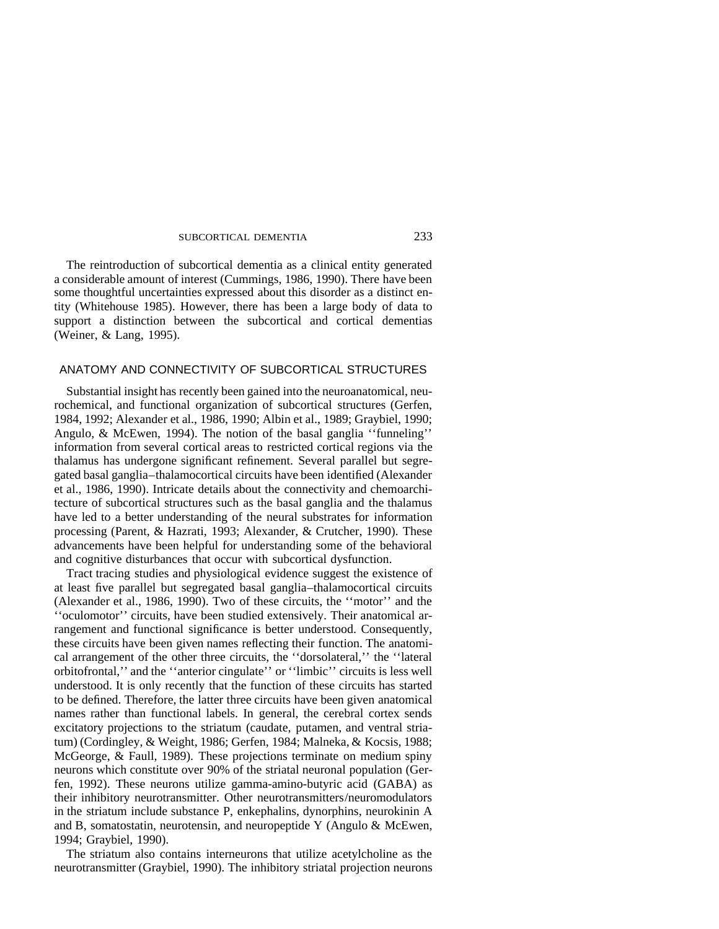The reintroduction of subcortical dementia as a clinical entity generated a considerable amount of interest (Cummings, 1986, 1990). There have been some thoughtful uncertainties expressed about this disorder as a distinct entity (Whitehouse 1985). However, there has been a large body of data to support a distinction between the subcortical and cortical dementias (Weiner, & Lang, 1995).

# ANATOMY AND CONNECTIVITY OF SUBCORTICAL STRUCTURES

Substantial insight has recently been gained into the neuroanatomical, neurochemical, and functional organization of subcortical structures (Gerfen, 1984, 1992; Alexander et al., 1986, 1990; Albin et al., 1989; Graybiel, 1990; Angulo, & McEwen, 1994). The notion of the basal ganglia ''funneling'' information from several cortical areas to restricted cortical regions via the thalamus has undergone significant refinement. Several parallel but segregated basal ganglia–thalamocortical circuits have been identified (Alexander et al., 1986, 1990). Intricate details about the connectivity and chemoarchitecture of subcortical structures such as the basal ganglia and the thalamus have led to a better understanding of the neural substrates for information processing (Parent, & Hazrati, 1993; Alexander, & Crutcher, 1990). These advancements have been helpful for understanding some of the behavioral and cognitive disturbances that occur with subcortical dysfunction.

Tract tracing studies and physiological evidence suggest the existence of at least five parallel but segregated basal ganglia–thalamocortical circuits (Alexander et al., 1986, 1990). Two of these circuits, the ''motor'' and the ''oculomotor'' circuits, have been studied extensively. Their anatomical arrangement and functional significance is better understood. Consequently, these circuits have been given names reflecting their function. The anatomical arrangement of the other three circuits, the ''dorsolateral,'' the ''lateral orbitofrontal,'' and the ''anterior cingulate'' or ''limbic'' circuits is less well understood. It is only recently that the function of these circuits has started to be defined. Therefore, the latter three circuits have been given anatomical names rather than functional labels. In general, the cerebral cortex sends excitatory projections to the striatum (caudate, putamen, and ventral striatum) (Cordingley, & Weight, 1986; Gerfen, 1984; Malneka, & Kocsis, 1988; McGeorge, & Faull, 1989). These projections terminate on medium spiny neurons which constitute over 90% of the striatal neuronal population (Gerfen, 1992). These neurons utilize gamma-amino-butyric acid (GABA) as their inhibitory neurotransmitter. Other neurotransmitters/neuromodulators in the striatum include substance P, enkephalins, dynorphins, neurokinin A and B, somatostatin, neurotensin, and neuropeptide Y (Angulo & McEwen, 1994; Graybiel, 1990).

The striatum also contains interneurons that utilize acetylcholine as the neurotransmitter (Graybiel, 1990). The inhibitory striatal projection neurons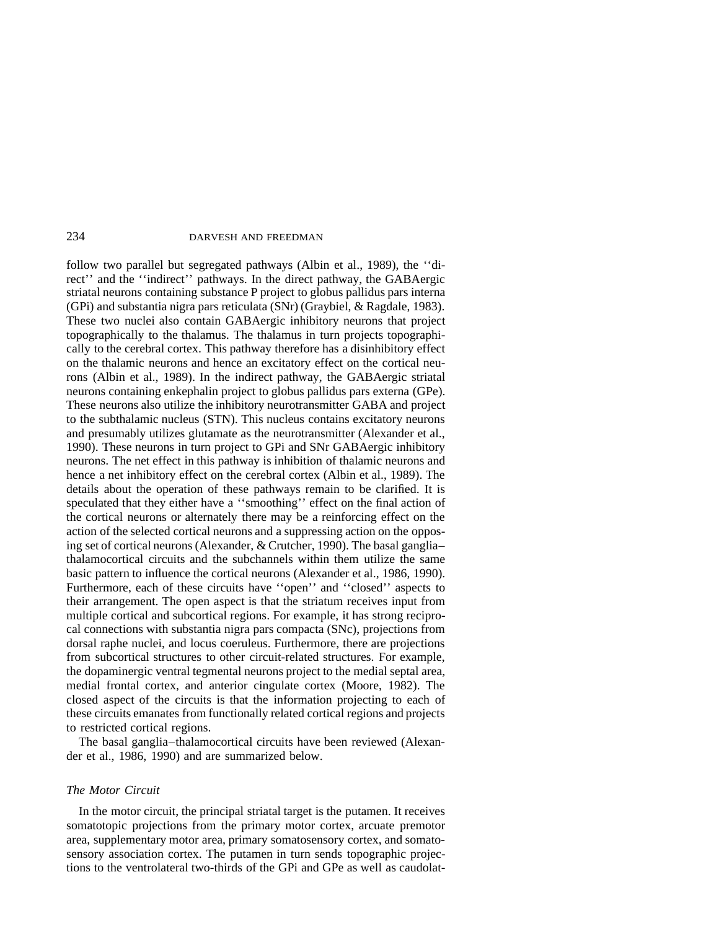follow two parallel but segregated pathways (Albin et al., 1989), the ''direct'' and the ''indirect'' pathways. In the direct pathway, the GABAergic striatal neurons containing substance P project to globus pallidus pars interna (GPi) and substantia nigra pars reticulata (SNr) (Graybiel, & Ragdale, 1983). These two nuclei also contain GABAergic inhibitory neurons that project topographically to the thalamus. The thalamus in turn projects topographically to the cerebral cortex. This pathway therefore has a disinhibitory effect on the thalamic neurons and hence an excitatory effect on the cortical neurons (Albin et al., 1989). In the indirect pathway, the GABAergic striatal neurons containing enkephalin project to globus pallidus pars externa (GPe). These neurons also utilize the inhibitory neurotransmitter GABA and project to the subthalamic nucleus (STN). This nucleus contains excitatory neurons and presumably utilizes glutamate as the neurotransmitter (Alexander et al., 1990). These neurons in turn project to GPi and SNr GABAergic inhibitory neurons. The net effect in this pathway is inhibition of thalamic neurons and hence a net inhibitory effect on the cerebral cortex (Albin et al., 1989). The details about the operation of these pathways remain to be clarified. It is speculated that they either have a "smoothing" effect on the final action of the cortical neurons or alternately there may be a reinforcing effect on the action of the selected cortical neurons and a suppressing action on the opposing set of cortical neurons (Alexander, & Crutcher, 1990). The basal ganglia– thalamocortical circuits and the subchannels within them utilize the same basic pattern to influence the cortical neurons (Alexander et al., 1986, 1990). Furthermore, each of these circuits have ''open'' and ''closed'' aspects to their arrangement. The open aspect is that the striatum receives input from multiple cortical and subcortical regions. For example, it has strong reciprocal connections with substantia nigra pars compacta (SNc), projections from dorsal raphe nuclei, and locus coeruleus. Furthermore, there are projections from subcortical structures to other circuit-related structures. For example, the dopaminergic ventral tegmental neurons project to the medial septal area, medial frontal cortex, and anterior cingulate cortex (Moore, 1982). The closed aspect of the circuits is that the information projecting to each of these circuits emanates from functionally related cortical regions and projects to restricted cortical regions.

The basal ganglia–thalamocortical circuits have been reviewed (Alexander et al., 1986, 1990) and are summarized below.

### *The Motor Circuit*

In the motor circuit, the principal striatal target is the putamen. It receives somatotopic projections from the primary motor cortex, arcuate premotor area, supplementary motor area, primary somatosensory cortex, and somatosensory association cortex. The putamen in turn sends topographic projections to the ventrolateral two-thirds of the GPi and GPe as well as caudolat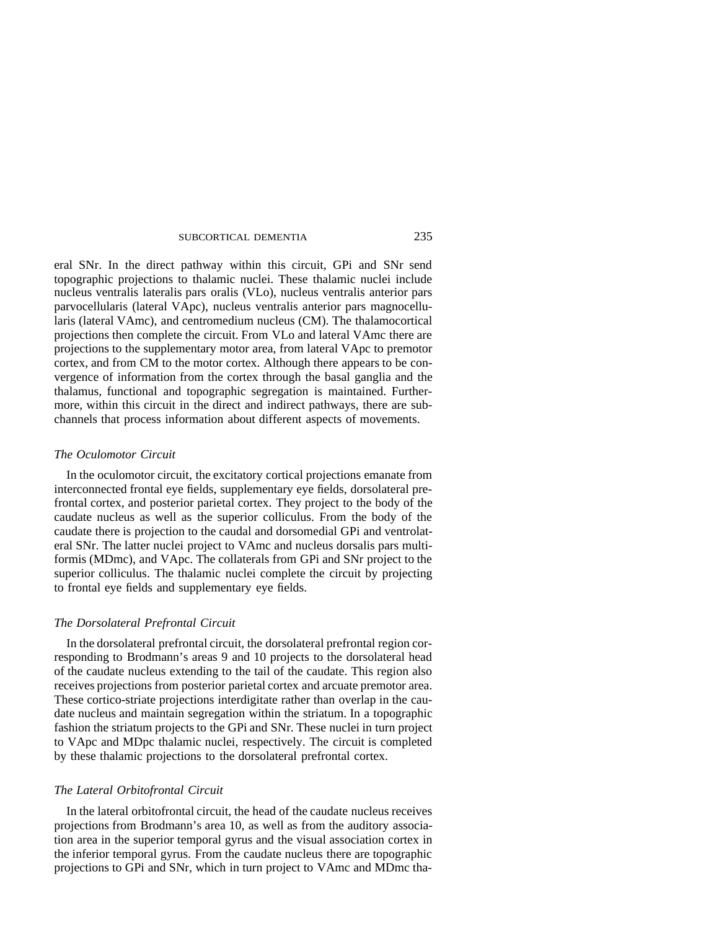eral SNr. In the direct pathway within this circuit, GPi and SNr send topographic projections to thalamic nuclei. These thalamic nuclei include nucleus ventralis lateralis pars oralis (VLo), nucleus ventralis anterior pars parvocellularis (lateral VApc), nucleus ventralis anterior pars magnocellularis (lateral VAmc), and centromedium nucleus (CM). The thalamocortical projections then complete the circuit. From VLo and lateral VAmc there are projections to the supplementary motor area, from lateral VApc to premotor cortex, and from CM to the motor cortex. Although there appears to be convergence of information from the cortex through the basal ganglia and the thalamus, functional and topographic segregation is maintained. Furthermore, within this circuit in the direct and indirect pathways, there are subchannels that process information about different aspects of movements.

## *The Oculomotor Circuit*

In the oculomotor circuit, the excitatory cortical projections emanate from interconnected frontal eye fields, supplementary eye fields, dorsolateral prefrontal cortex, and posterior parietal cortex. They project to the body of the caudate nucleus as well as the superior colliculus. From the body of the caudate there is projection to the caudal and dorsomedial GPi and ventrolateral SNr. The latter nuclei project to VAmc and nucleus dorsalis pars multiformis (MDmc), and VApc. The collaterals from GPi and SNr project to the superior colliculus. The thalamic nuclei complete the circuit by projecting to frontal eye fields and supplementary eye fields.

### *The Dorsolateral Prefrontal Circuit*

In the dorsolateral prefrontal circuit, the dorsolateral prefrontal region corresponding to Brodmann's areas 9 and 10 projects to the dorsolateral head of the caudate nucleus extending to the tail of the caudate. This region also receives projections from posterior parietal cortex and arcuate premotor area. These cortico-striate projections interdigitate rather than overlap in the caudate nucleus and maintain segregation within the striatum. In a topographic fashion the striatum projects to the GPi and SNr. These nuclei in turn project to VApc and MDpc thalamic nuclei, respectively. The circuit is completed by these thalamic projections to the dorsolateral prefrontal cortex.

### *The Lateral Orbitofrontal Circuit*

In the lateral orbitofrontal circuit, the head of the caudate nucleus receives projections from Brodmann's area 10, as well as from the auditory association area in the superior temporal gyrus and the visual association cortex in the inferior temporal gyrus. From the caudate nucleus there are topographic projections to GPi and SNr, which in turn project to VAmc and MDmc tha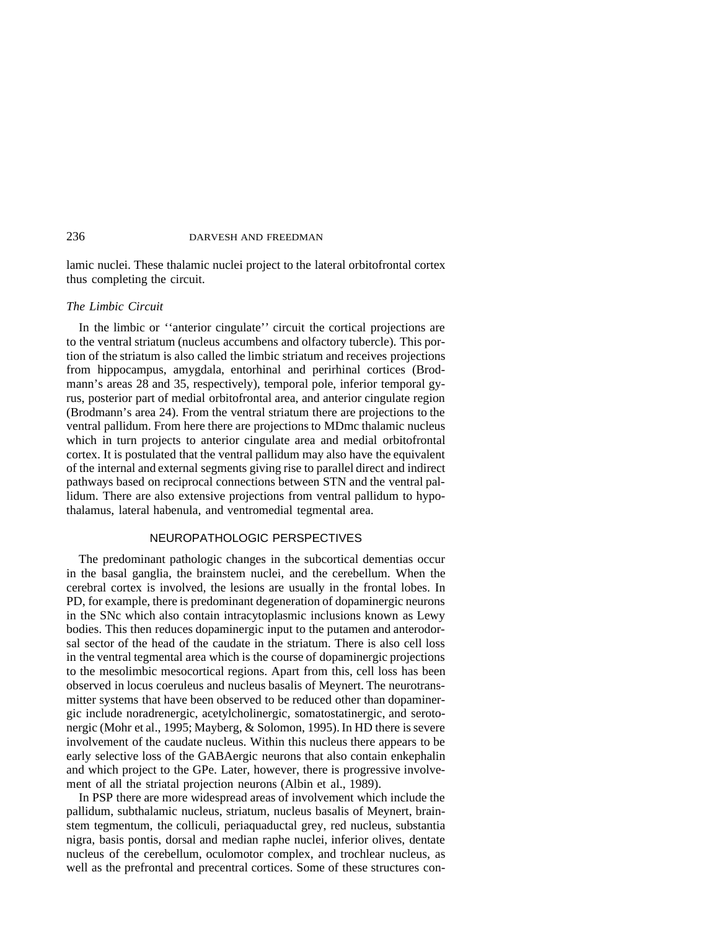lamic nuclei. These thalamic nuclei project to the lateral orbitofrontal cortex thus completing the circuit.

# *The Limbic Circuit*

In the limbic or ''anterior cingulate'' circuit the cortical projections are to the ventral striatum (nucleus accumbens and olfactory tubercle). This portion of the striatum is also called the limbic striatum and receives projections from hippocampus, amygdala, entorhinal and perirhinal cortices (Brodmann's areas 28 and 35, respectively), temporal pole, inferior temporal gyrus, posterior part of medial orbitofrontal area, and anterior cingulate region (Brodmann's area 24). From the ventral striatum there are projections to the ventral pallidum. From here there are projections to MDmc thalamic nucleus which in turn projects to anterior cingulate area and medial orbitofrontal cortex. It is postulated that the ventral pallidum may also have the equivalent of the internal and external segments giving rise to parallel direct and indirect pathways based on reciprocal connections between STN and the ventral pallidum. There are also extensive projections from ventral pallidum to hypothalamus, lateral habenula, and ventromedial tegmental area.

# NEUROPATHOLOGIC PERSPECTIVES

The predominant pathologic changes in the subcortical dementias occur in the basal ganglia, the brainstem nuclei, and the cerebellum. When the cerebral cortex is involved, the lesions are usually in the frontal lobes. In PD, for example, there is predominant degeneration of dopaminergic neurons in the SNc which also contain intracytoplasmic inclusions known as Lewy bodies. This then reduces dopaminergic input to the putamen and anterodorsal sector of the head of the caudate in the striatum. There is also cell loss in the ventral tegmental area which is the course of dopaminergic projections to the mesolimbic mesocortical regions. Apart from this, cell loss has been observed in locus coeruleus and nucleus basalis of Meynert. The neurotransmitter systems that have been observed to be reduced other than dopaminergic include noradrenergic, acetylcholinergic, somatostatinergic, and serotonergic (Mohr et al., 1995; Mayberg, & Solomon, 1995). In HD there is severe involvement of the caudate nucleus. Within this nucleus there appears to be early selective loss of the GABAergic neurons that also contain enkephalin and which project to the GPe. Later, however, there is progressive involvement of all the striatal projection neurons (Albin et al., 1989).

In PSP there are more widespread areas of involvement which include the pallidum, subthalamic nucleus, striatum, nucleus basalis of Meynert, brainstem tegmentum, the colliculi, periaquaductal grey, red nucleus, substantia nigra, basis pontis, dorsal and median raphe nuclei, inferior olives, dentate nucleus of the cerebellum, oculomotor complex, and trochlear nucleus, as well as the prefrontal and precentral cortices. Some of these structures con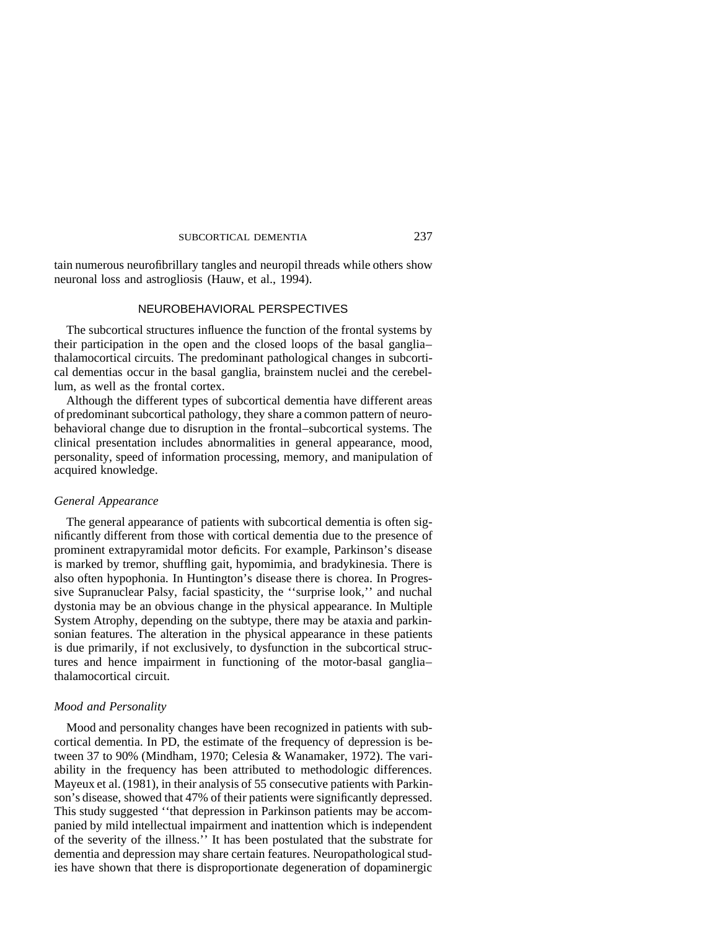tain numerous neurofibrillary tangles and neuropil threads while others show neuronal loss and astrogliosis (Hauw, et al., 1994).

### NEUROBEHAVIORAL PERSPECTIVES

The subcortical structures influence the function of the frontal systems by their participation in the open and the closed loops of the basal ganglia– thalamocortical circuits. The predominant pathological changes in subcortical dementias occur in the basal ganglia, brainstem nuclei and the cerebellum, as well as the frontal cortex.

Although the different types of subcortical dementia have different areas of predominant subcortical pathology, they share a common pattern of neurobehavioral change due to disruption in the frontal–subcortical systems. The clinical presentation includes abnormalities in general appearance, mood, personality, speed of information processing, memory, and manipulation of acquired knowledge.

## *General Appearance*

The general appearance of patients with subcortical dementia is often significantly different from those with cortical dementia due to the presence of prominent extrapyramidal motor deficits. For example, Parkinson's disease is marked by tremor, shuffling gait, hypomimia, and bradykinesia. There is also often hypophonia. In Huntington's disease there is chorea. In Progressive Supranuclear Palsy, facial spasticity, the ''surprise look,'' and nuchal dystonia may be an obvious change in the physical appearance. In Multiple System Atrophy, depending on the subtype, there may be ataxia and parkinsonian features. The alteration in the physical appearance in these patients is due primarily, if not exclusively, to dysfunction in the subcortical structures and hence impairment in functioning of the motor-basal ganglia– thalamocortical circuit.

#### *Mood and Personality*

Mood and personality changes have been recognized in patients with subcortical dementia. In PD, the estimate of the frequency of depression is between 37 to 90% (Mindham, 1970; Celesia & Wanamaker, 1972). The variability in the frequency has been attributed to methodologic differences. Mayeux et al. (1981), in their analysis of 55 consecutive patients with Parkinson's disease, showed that 47% of their patients were significantly depressed. This study suggested ''that depression in Parkinson patients may be accompanied by mild intellectual impairment and inattention which is independent of the severity of the illness.'' It has been postulated that the substrate for dementia and depression may share certain features. Neuropathological studies have shown that there is disproportionate degeneration of dopaminergic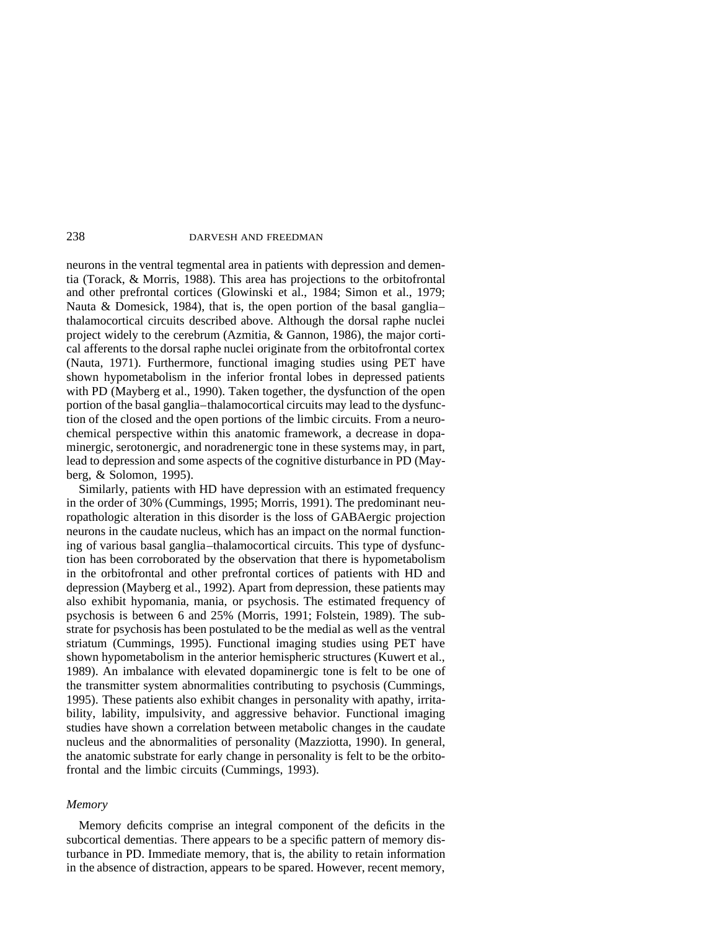neurons in the ventral tegmental area in patients with depression and dementia (Torack, & Morris, 1988). This area has projections to the orbitofrontal and other prefrontal cortices (Glowinski et al., 1984; Simon et al., 1979; Nauta & Domesick, 1984), that is, the open portion of the basal ganglia– thalamocortical circuits described above. Although the dorsal raphe nuclei project widely to the cerebrum (Azmitia, & Gannon, 1986), the major cortical afferents to the dorsal raphe nuclei originate from the orbitofrontal cortex (Nauta, 1971). Furthermore, functional imaging studies using PET have shown hypometabolism in the inferior frontal lobes in depressed patients with PD (Mayberg et al., 1990). Taken together, the dysfunction of the open portion of the basal ganglia–thalamocortical circuits may lead to the dysfunction of the closed and the open portions of the limbic circuits. From a neurochemical perspective within this anatomic framework, a decrease in dopaminergic, serotonergic, and noradrenergic tone in these systems may, in part, lead to depression and some aspects of the cognitive disturbance in PD (Mayberg, & Solomon, 1995).

Similarly, patients with HD have depression with an estimated frequency in the order of 30% (Cummings, 1995; Morris, 1991). The predominant neuropathologic alteration in this disorder is the loss of GABAergic projection neurons in the caudate nucleus, which has an impact on the normal functioning of various basal ganglia–thalamocortical circuits. This type of dysfunction has been corroborated by the observation that there is hypometabolism in the orbitofrontal and other prefrontal cortices of patients with HD and depression (Mayberg et al., 1992). Apart from depression, these patients may also exhibit hypomania, mania, or psychosis. The estimated frequency of psychosis is between 6 and 25% (Morris, 1991; Folstein, 1989). The substrate for psychosis has been postulated to be the medial as well as the ventral striatum (Cummings, 1995). Functional imaging studies using PET have shown hypometabolism in the anterior hemispheric structures (Kuwert et al., 1989). An imbalance with elevated dopaminergic tone is felt to be one of the transmitter system abnormalities contributing to psychosis (Cummings, 1995). These patients also exhibit changes in personality with apathy, irritability, lability, impulsivity, and aggressive behavior. Functional imaging studies have shown a correlation between metabolic changes in the caudate nucleus and the abnormalities of personality (Mazziotta, 1990). In general, the anatomic substrate for early change in personality is felt to be the orbitofrontal and the limbic circuits (Cummings, 1993).

### *Memory*

Memory deficits comprise an integral component of the deficits in the subcortical dementias. There appears to be a specific pattern of memory disturbance in PD. Immediate memory, that is, the ability to retain information in the absence of distraction, appears to be spared. However, recent memory,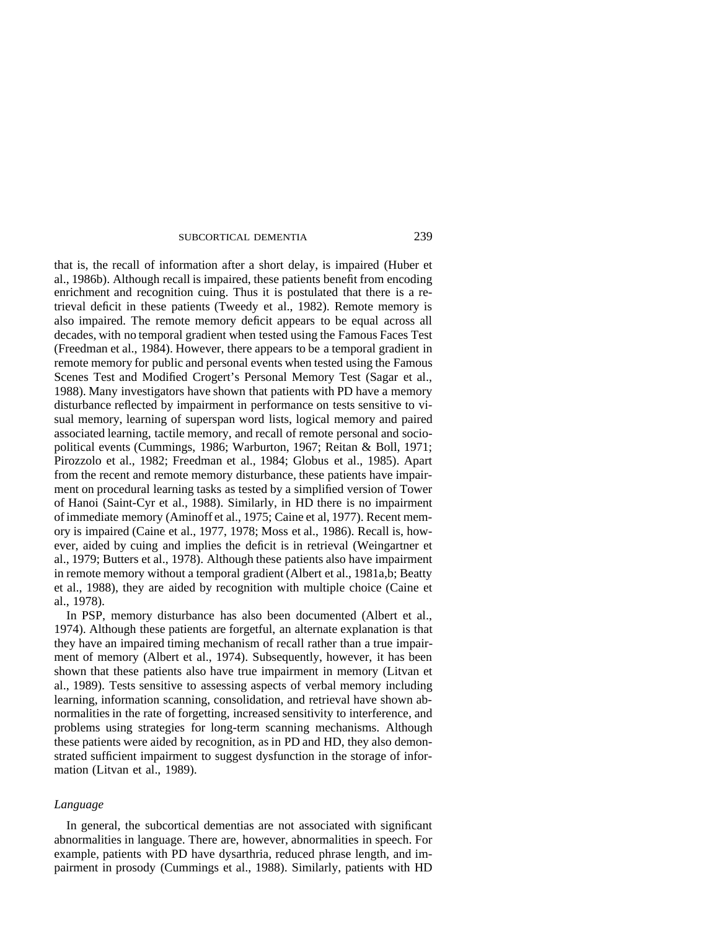that is, the recall of information after a short delay, is impaired (Huber et al., 1986b). Although recall is impaired, these patients benefit from encoding enrichment and recognition cuing. Thus it is postulated that there is a retrieval deficit in these patients (Tweedy et al., 1982). Remote memory is also impaired. The remote memory deficit appears to be equal across all decades, with no temporal gradient when tested using the Famous Faces Test (Freedman et al., 1984). However, there appears to be a temporal gradient in remote memory for public and personal events when tested using the Famous Scenes Test and Modified Crogert's Personal Memory Test (Sagar et al., 1988). Many investigators have shown that patients with PD have a memory disturbance reflected by impairment in performance on tests sensitive to visual memory, learning of superspan word lists, logical memory and paired associated learning, tactile memory, and recall of remote personal and sociopolitical events (Cummings, 1986; Warburton, 1967; Reitan & Boll, 1971; Pirozzolo et al., 1982; Freedman et al., 1984; Globus et al., 1985). Apart from the recent and remote memory disturbance, these patients have impairment on procedural learning tasks as tested by a simplified version of Tower of Hanoi (Saint-Cyr et al., 1988). Similarly, in HD there is no impairment of immediate memory (Aminoff et al., 1975; Caine et al, 1977). Recent memory is impaired (Caine et al., 1977, 1978; Moss et al., 1986). Recall is, however, aided by cuing and implies the deficit is in retrieval (Weingartner et al., 1979; Butters et al., 1978). Although these patients also have impairment in remote memory without a temporal gradient (Albert et al., 1981a,b; Beatty et al., 1988), they are aided by recognition with multiple choice (Caine et al., 1978).

In PSP, memory disturbance has also been documented (Albert et al., 1974). Although these patients are forgetful, an alternate explanation is that they have an impaired timing mechanism of recall rather than a true impairment of memory (Albert et al., 1974). Subsequently, however, it has been shown that these patients also have true impairment in memory (Litvan et al., 1989). Tests sensitive to assessing aspects of verbal memory including learning, information scanning, consolidation, and retrieval have shown abnormalities in the rate of forgetting, increased sensitivity to interference, and problems using strategies for long-term scanning mechanisms. Although these patients were aided by recognition, as in PD and HD, they also demonstrated sufficient impairment to suggest dysfunction in the storage of information (Litvan et al., 1989).

### *Language*

In general, the subcortical dementias are not associated with significant abnormalities in language. There are, however, abnormalities in speech. For example, patients with PD have dysarthria, reduced phrase length, and impairment in prosody (Cummings et al., 1988). Similarly, patients with HD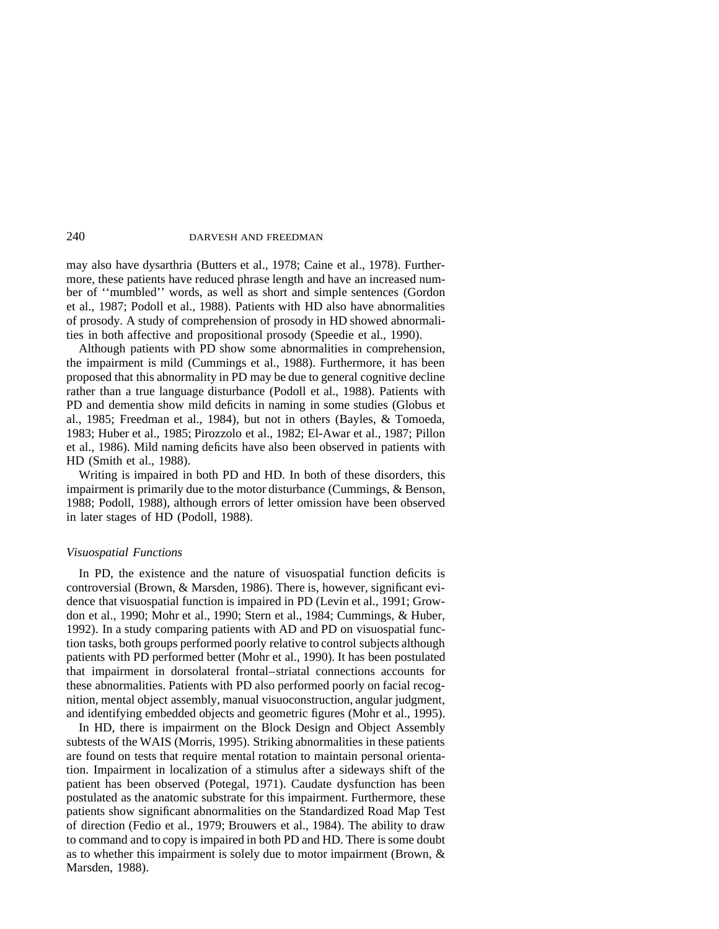may also have dysarthria (Butters et al., 1978; Caine et al., 1978). Furthermore, these patients have reduced phrase length and have an increased number of ''mumbled'' words, as well as short and simple sentences (Gordon et al., 1987; Podoll et al., 1988). Patients with HD also have abnormalities of prosody. A study of comprehension of prosody in HD showed abnormalities in both affective and propositional prosody (Speedie et al., 1990).

Although patients with PD show some abnormalities in comprehension, the impairment is mild (Cummings et al., 1988). Furthermore, it has been proposed that this abnormality in PD may be due to general cognitive decline rather than a true language disturbance (Podoll et al., 1988). Patients with PD and dementia show mild deficits in naming in some studies (Globus et al., 1985; Freedman et al., 1984), but not in others (Bayles, & Tomoeda, 1983; Huber et al., 1985; Pirozzolo et al., 1982; El-Awar et al., 1987; Pillon et al., 1986). Mild naming deficits have also been observed in patients with HD (Smith et al., 1988).

Writing is impaired in both PD and HD. In both of these disorders, this impairment is primarily due to the motor disturbance (Cummings, & Benson, 1988; Podoll, 1988), although errors of letter omission have been observed in later stages of HD (Podoll, 1988).

### *Visuospatial Functions*

In PD, the existence and the nature of visuospatial function deficits is controversial (Brown, & Marsden, 1986). There is, however, significant evidence that visuospatial function is impaired in PD (Levin et al., 1991; Growdon et al., 1990; Mohr et al., 1990; Stern et al., 1984; Cummings, & Huber, 1992). In a study comparing patients with AD and PD on visuospatial function tasks, both groups performed poorly relative to control subjects although patients with PD performed better (Mohr et al., 1990). It has been postulated that impairment in dorsolateral frontal–striatal connections accounts for these abnormalities. Patients with PD also performed poorly on facial recognition, mental object assembly, manual visuoconstruction, angular judgment, and identifying embedded objects and geometric figures (Mohr et al., 1995).

In HD, there is impairment on the Block Design and Object Assembly subtests of the WAIS (Morris, 1995). Striking abnormalities in these patients are found on tests that require mental rotation to maintain personal orientation. Impairment in localization of a stimulus after a sideways shift of the patient has been observed (Potegal, 1971). Caudate dysfunction has been postulated as the anatomic substrate for this impairment. Furthermore, these patients show significant abnormalities on the Standardized Road Map Test of direction (Fedio et al., 1979; Brouwers et al., 1984). The ability to draw to command and to copy is impaired in both PD and HD. There is some doubt as to whether this impairment is solely due to motor impairment (Brown, & Marsden, 1988).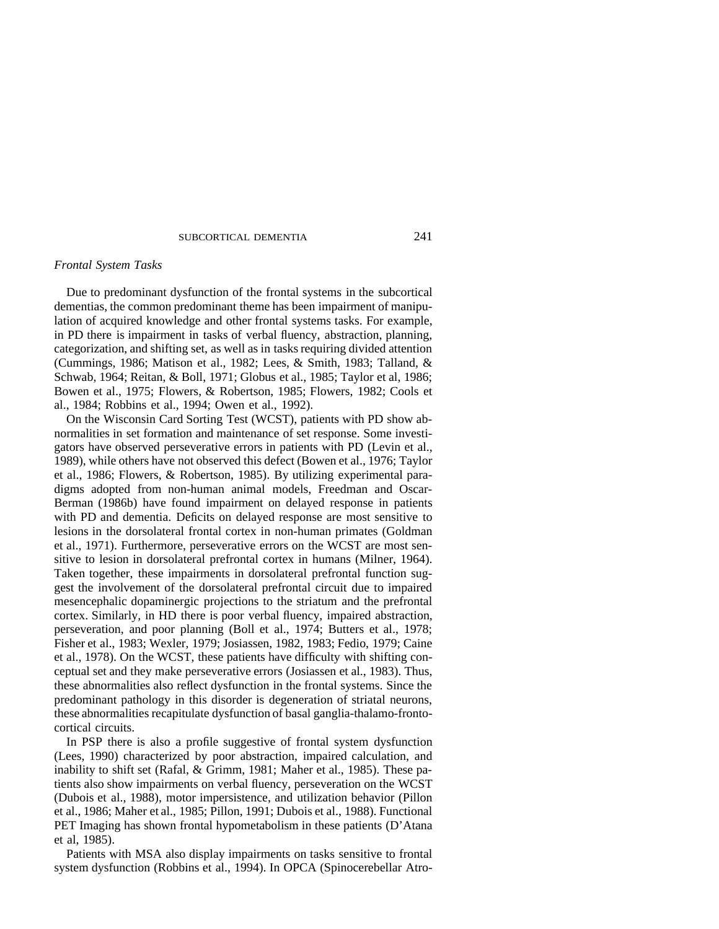### *Frontal System Tasks*

Due to predominant dysfunction of the frontal systems in the subcortical dementias, the common predominant theme has been impairment of manipulation of acquired knowledge and other frontal systems tasks. For example, in PD there is impairment in tasks of verbal fluency, abstraction, planning, categorization, and shifting set, as well as in tasks requiring divided attention (Cummings, 1986; Matison et al., 1982; Lees, & Smith, 1983; Talland, & Schwab, 1964; Reitan, & Boll, 1971; Globus et al., 1985; Taylor et al, 1986; Bowen et al., 1975; Flowers, & Robertson, 1985; Flowers, 1982; Cools et al., 1984; Robbins et al., 1994; Owen et al., 1992).

On the Wisconsin Card Sorting Test (WCST), patients with PD show abnormalities in set formation and maintenance of set response. Some investigators have observed perseverative errors in patients with PD (Levin et al., 1989), while others have not observed this defect (Bowen et al., 1976; Taylor et al., 1986; Flowers, & Robertson, 1985). By utilizing experimental paradigms adopted from non-human animal models, Freedman and Oscar-Berman (1986b) have found impairment on delayed response in patients with PD and dementia. Deficits on delayed response are most sensitive to lesions in the dorsolateral frontal cortex in non-human primates (Goldman et al., 1971). Furthermore, perseverative errors on the WCST are most sensitive to lesion in dorsolateral prefrontal cortex in humans (Milner, 1964). Taken together, these impairments in dorsolateral prefrontal function suggest the involvement of the dorsolateral prefrontal circuit due to impaired mesencephalic dopaminergic projections to the striatum and the prefrontal cortex. Similarly, in HD there is poor verbal fluency, impaired abstraction, perseveration, and poor planning (Boll et al., 1974; Butters et al., 1978; Fisher et al., 1983; Wexler, 1979; Josiassen, 1982, 1983; Fedio, 1979; Caine et al., 1978). On the WCST, these patients have difficulty with shifting conceptual set and they make perseverative errors (Josiassen et al., 1983). Thus, these abnormalities also reflect dysfunction in the frontal systems. Since the predominant pathology in this disorder is degeneration of striatal neurons, these abnormalities recapitulate dysfunction of basal ganglia-thalamo-frontocortical circuits.

In PSP there is also a profile suggestive of frontal system dysfunction (Lees, 1990) characterized by poor abstraction, impaired calculation, and inability to shift set (Rafal, & Grimm, 1981; Maher et al., 1985). These patients also show impairments on verbal fluency, perseveration on the WCST (Dubois et al., 1988), motor impersistence, and utilization behavior (Pillon et al., 1986; Maher et al., 1985; Pillon, 1991; Dubois et al., 1988). Functional PET Imaging has shown frontal hypometabolism in these patients (D'Atana et al, 1985).

Patients with MSA also display impairments on tasks sensitive to frontal system dysfunction (Robbins et al., 1994). In OPCA (Spinocerebellar Atro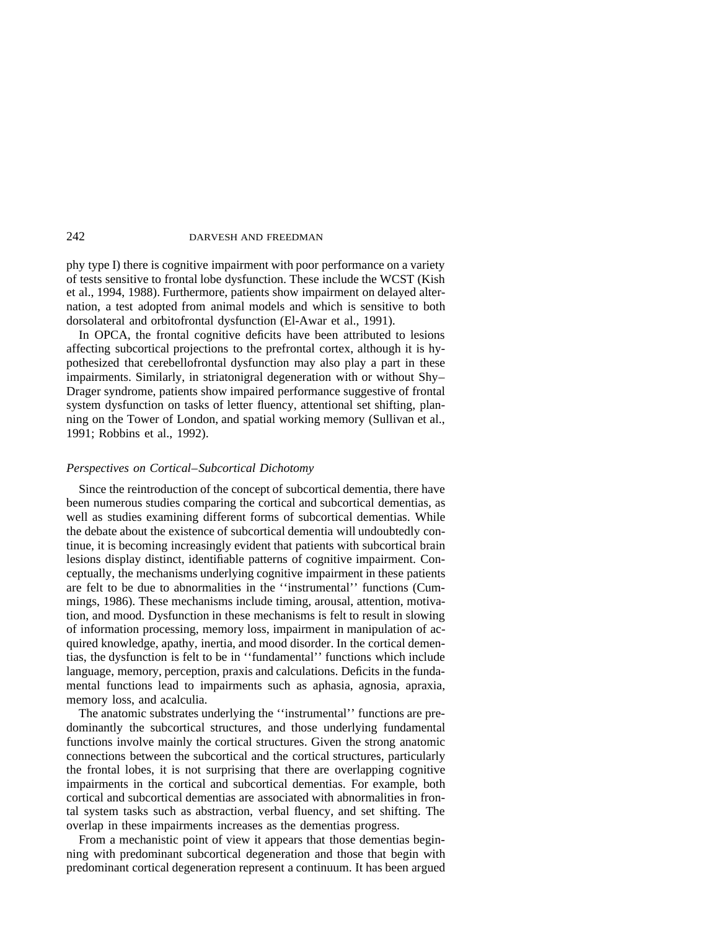phy type I) there is cognitive impairment with poor performance on a variety of tests sensitive to frontal lobe dysfunction. These include the WCST (Kish et al., 1994, 1988). Furthermore, patients show impairment on delayed alternation, a test adopted from animal models and which is sensitive to both dorsolateral and orbitofrontal dysfunction (El-Awar et al., 1991).

In OPCA, the frontal cognitive deficits have been attributed to lesions affecting subcortical projections to the prefrontal cortex, although it is hypothesized that cerebellofrontal dysfunction may also play a part in these impairments. Similarly, in striatonigral degeneration with or without Shy– Drager syndrome, patients show impaired performance suggestive of frontal system dysfunction on tasks of letter fluency, attentional set shifting, planning on the Tower of London, and spatial working memory (Sullivan et al., 1991; Robbins et al., 1992).

### *Perspectives on Cortical–Subcortical Dichotomy*

Since the reintroduction of the concept of subcortical dementia, there have been numerous studies comparing the cortical and subcortical dementias, as well as studies examining different forms of subcortical dementias. While the debate about the existence of subcortical dementia will undoubtedly continue, it is becoming increasingly evident that patients with subcortical brain lesions display distinct, identifiable patterns of cognitive impairment. Conceptually, the mechanisms underlying cognitive impairment in these patients are felt to be due to abnormalities in the ''instrumental'' functions (Cummings, 1986). These mechanisms include timing, arousal, attention, motivation, and mood. Dysfunction in these mechanisms is felt to result in slowing of information processing, memory loss, impairment in manipulation of acquired knowledge, apathy, inertia, and mood disorder. In the cortical dementias, the dysfunction is felt to be in ''fundamental'' functions which include language, memory, perception, praxis and calculations. Deficits in the fundamental functions lead to impairments such as aphasia, agnosia, apraxia, memory loss, and acalculia.

The anatomic substrates underlying the ''instrumental'' functions are predominantly the subcortical structures, and those underlying fundamental functions involve mainly the cortical structures. Given the strong anatomic connections between the subcortical and the cortical structures, particularly the frontal lobes, it is not surprising that there are overlapping cognitive impairments in the cortical and subcortical dementias. For example, both cortical and subcortical dementias are associated with abnormalities in frontal system tasks such as abstraction, verbal fluency, and set shifting. The overlap in these impairments increases as the dementias progress.

From a mechanistic point of view it appears that those dementias beginning with predominant subcortical degeneration and those that begin with predominant cortical degeneration represent a continuum. It has been argued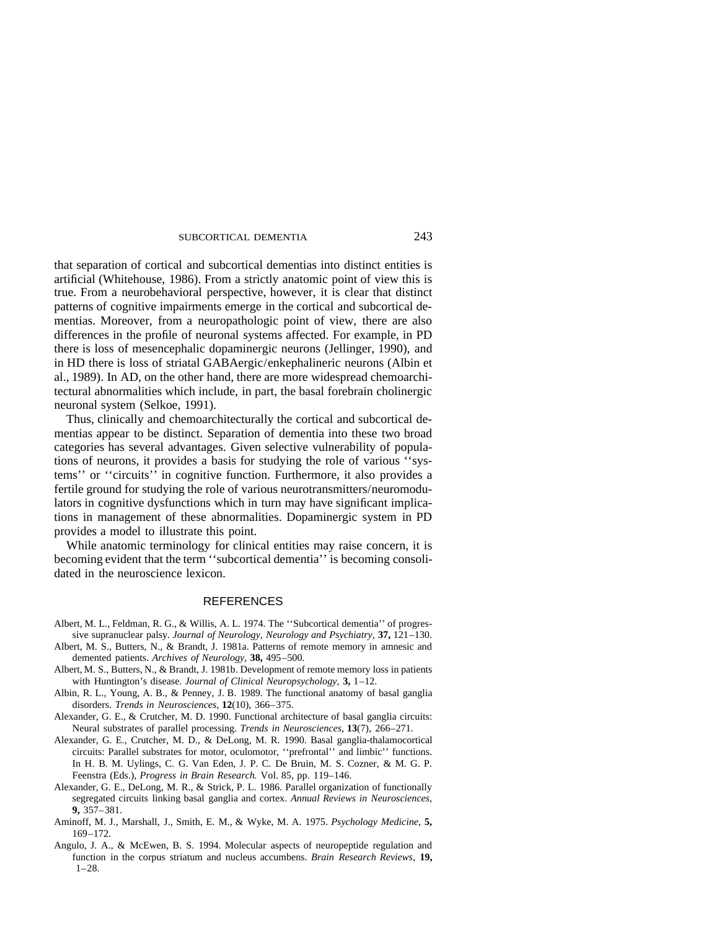that separation of cortical and subcortical dementias into distinct entities is artificial (Whitehouse, 1986). From a strictly anatomic point of view this is true. From a neurobehavioral perspective, however, it is clear that distinct patterns of cognitive impairments emerge in the cortical and subcortical dementias. Moreover, from a neuropathologic point of view, there are also differences in the profile of neuronal systems affected. For example, in PD there is loss of mesencephalic dopaminergic neurons (Jellinger, 1990), and in HD there is loss of striatal GABAergic/enkephalineric neurons (Albin et al., 1989). In AD, on the other hand, there are more widespread chemoarchitectural abnormalities which include, in part, the basal forebrain cholinergic neuronal system (Selkoe, 1991).

Thus, clinically and chemoarchitecturally the cortical and subcortical dementias appear to be distinct. Separation of dementia into these two broad categories has several advantages. Given selective vulnerability of populations of neurons, it provides a basis for studying the role of various ''systems'' or ''circuits'' in cognitive function. Furthermore, it also provides a fertile ground for studying the role of various neurotransmitters/neuromodulators in cognitive dysfunctions which in turn may have significant implications in management of these abnormalities. Dopaminergic system in PD provides a model to illustrate this point.

While anatomic terminology for clinical entities may raise concern, it is becoming evident that the term ''subcortical dementia'' is becoming consolidated in the neuroscience lexicon.

### REFERENCES

- Albert, M. L., Feldman, R. G., & Willis, A. L. 1974. The ''Subcortical dementia'' of progressive supranuclear palsy. *Journal of Neurology, Neurology and Psychiatry,* **37,** 121–130.
- Albert, M. S., Butters, N., & Brandt, J. 1981a. Patterns of remote memory in amnesic and demented patients. *Archives of Neurology,* **38,** 495–500.
- Albert, M. S., Butters, N., & Brandt, J. 1981b. Development of remote memory loss in patients with Huntington's disease. *Journal of Clinical Neuropsychology,* **3,** 1–12.
- Albin, R. L., Young, A. B., & Penney, J. B. 1989. The functional anatomy of basal ganglia disorders. *Trends in Neurosciences,* **12**(10), 366–375.
- Alexander, G. E., & Crutcher, M. D. 1990. Functional architecture of basal ganglia circuits: Neural substrates of parallel processing. *Trends in Neurosciences,* **13**(7), 266–271.
- Alexander, G. E., Crutcher, M. D., & DeLong, M. R. 1990. Basal ganglia-thalamocortical circuits: Parallel substrates for motor, oculomotor, ''prefrontal'' and limbic'' functions. In H. B. M. Uylings, C. G. Van Eden, J. P. C. De Bruin, M. S. Cozner, & M. G. P. Feenstra (Eds.), *Progress in Brain Research.* Vol. 85, pp. 119–146.
- Alexander, G. E., DeLong, M. R., & Strick, P. L. 1986. Parallel organization of functionally segregated circuits linking basal ganglia and cortex. *Annual Reviews in Neurosciences,* **9,** 357–381.
- Aminoff, M. J., Marshall, J., Smith, E. M., & Wyke, M. A. 1975. *Psychology Medicine,* **5,** 169–172.
- Angulo, J. A., & McEwen, B. S. 1994. Molecular aspects of neuropeptide regulation and function in the corpus striatum and nucleus accumbens. *Brain Research Reviews,* **19,** 1–28.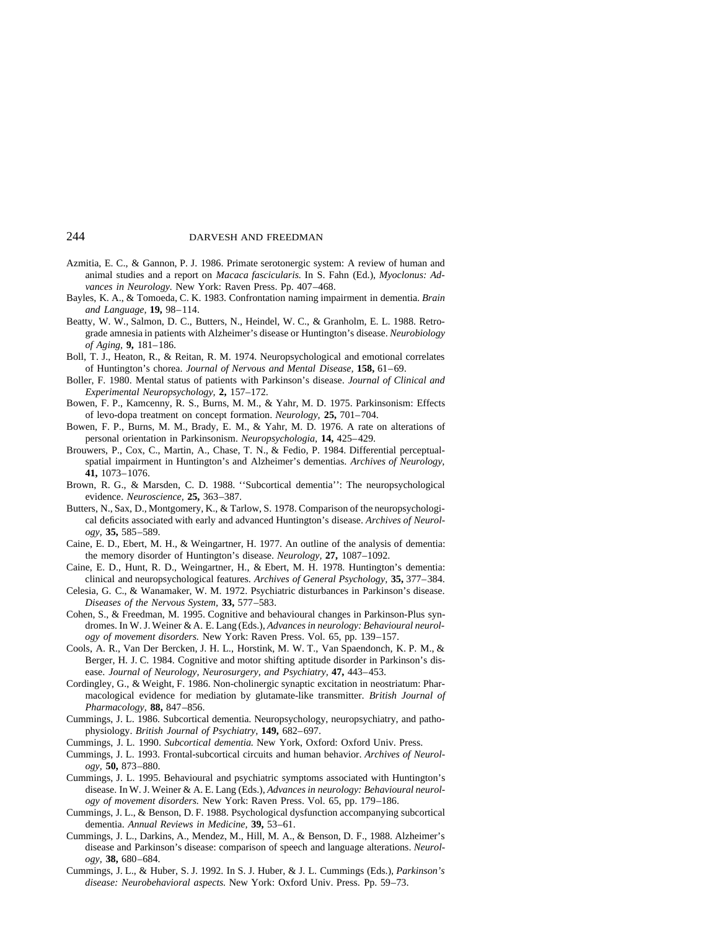- Azmitia, E. C., & Gannon, P. J. 1986. Primate serotonergic system: A review of human and animal studies and a report on *Macaca fascicularis.* In S. Fahn (Ed.), *Myoclonus: Advances in Neurology.* New York: Raven Press. Pp. 407–468.
- Bayles, K. A., & Tomoeda, C. K. 1983. Confrontation naming impairment in dementia. *Brain and Language,* **19,** 98–114.
- Beatty, W. W., Salmon, D. C., Butters, N., Heindel, W. C., & Granholm, E. L. 1988. Retrograde amnesia in patients with Alzheimer's disease or Huntington's disease. *Neurobiology of Aging,* **9,** 181–186.
- Boll, T. J., Heaton, R., & Reitan, R. M. 1974. Neuropsychological and emotional correlates of Huntington's chorea. *Journal of Nervous and Mental Disease,* **158,** 61–69.
- Boller, F. 1980. Mental status of patients with Parkinson's disease. *Journal of Clinical and Experimental Neuropsychology,* **2,** 157–172.
- Bowen, F. P., Kamcenny, R. S., Burns, M. M., & Yahr, M. D. 1975. Parkinsonism: Effects of levo-dopa treatment on concept formation. *Neurology,* **25,** 701–704.
- Bowen, F. P., Burns, M. M., Brady, E. M., & Yahr, M. D. 1976. A rate on alterations of personal orientation in Parkinsonism. *Neuropsychologia,* **14,** 425–429.
- Brouwers, P., Cox, C., Martin, A., Chase, T. N., & Fedio, P. 1984. Differential perceptualspatial impairment in Huntington's and Alzheimer's dementias. *Archives of Neurology,* **41,** 1073–1076.
- Brown, R. G., & Marsden, C. D. 1988. ''Subcortical dementia'': The neuropsychological evidence. *Neuroscience,* **25,** 363–387.
- Butters, N., Sax, D., Montgomery, K., & Tarlow, S. 1978. Comparison of the neuropsychological deficits associated with early and advanced Huntington's disease. *Archives of Neurology,* **35,** 585–589.
- Caine, E. D., Ebert, M. H., & Weingartner, H. 1977. An outline of the analysis of dementia: the memory disorder of Huntington's disease. *Neurology,* **27,** 1087–1092.
- Caine, E. D., Hunt, R. D., Weingartner, H., & Ebert, M. H. 1978. Huntington's dementia: clinical and neuropsychological features. *Archives of General Psychology,* **35,** 377–384.
- Celesia, G. C., & Wanamaker, W. M. 1972. Psychiatric disturbances in Parkinson's disease. *Diseases of the Nervous System,* **33,** 577–583.
- Cohen, S., & Freedman, M. 1995. Cognitive and behavioural changes in Parkinson-Plus syndromes. In W. J. Weiner & A. E. Lang (Eds.), *Advances in neurology: Behavioural neurology of movement disorders.* New York: Raven Press. Vol. 65, pp. 139–157.
- Cools, A. R., Van Der Bercken, J. H. L., Horstink, M. W. T., Van Spaendonch, K. P. M., & Berger, H. J. C. 1984. Cognitive and motor shifting aptitude disorder in Parkinson's disease. *Journal of Neurology, Neurosurgery, and Psychiatry,* **47,** 443–453.
- Cordingley, G., & Weight, F. 1986. Non-cholinergic synaptic excitation in neostriatum: Pharmacological evidence for mediation by glutamate-like transmitter. *British Journal of Pharmacology,* **88,** 847–856.
- Cummings, J. L. 1986. Subcortical dementia. Neuropsychology, neuropsychiatry, and pathophysiology. *British Journal of Psychiatry,* **149,** 682–697.
- Cummings, J. L. 1990. *Subcortical dementia.* New York, Oxford: Oxford Univ. Press.
- Cummings, J. L. 1993. Frontal-subcortical circuits and human behavior. *Archives of Neurology,* **50,** 873–880.
- Cummings, J. L. 1995. Behavioural and psychiatric symptoms associated with Huntington's disease. In W. J. Weiner & A. E. Lang (Eds.), *Advances in neurology: Behavioural neurology of movement disorders.* New York: Raven Press. Vol. 65, pp. 179–186.
- Cummings, J. L., & Benson, D. F. 1988. Psychological dysfunction accompanying subcortical dementia. *Annual Reviews in Medicine,* **39,** 53–61.
- Cummings, J. L., Darkins, A., Mendez, M., Hill, M. A., & Benson, D. F., 1988. Alzheimer's disease and Parkinson's disease: comparison of speech and language alterations. *Neurology,* **38,** 680–684.
- Cummings, J. L., & Huber, S. J. 1992. In S. J. Huber, & J. L. Cummings (Eds.), *Parkinson's disease: Neurobehavioral aspects.* New York: Oxford Univ. Press. Pp. 59–73.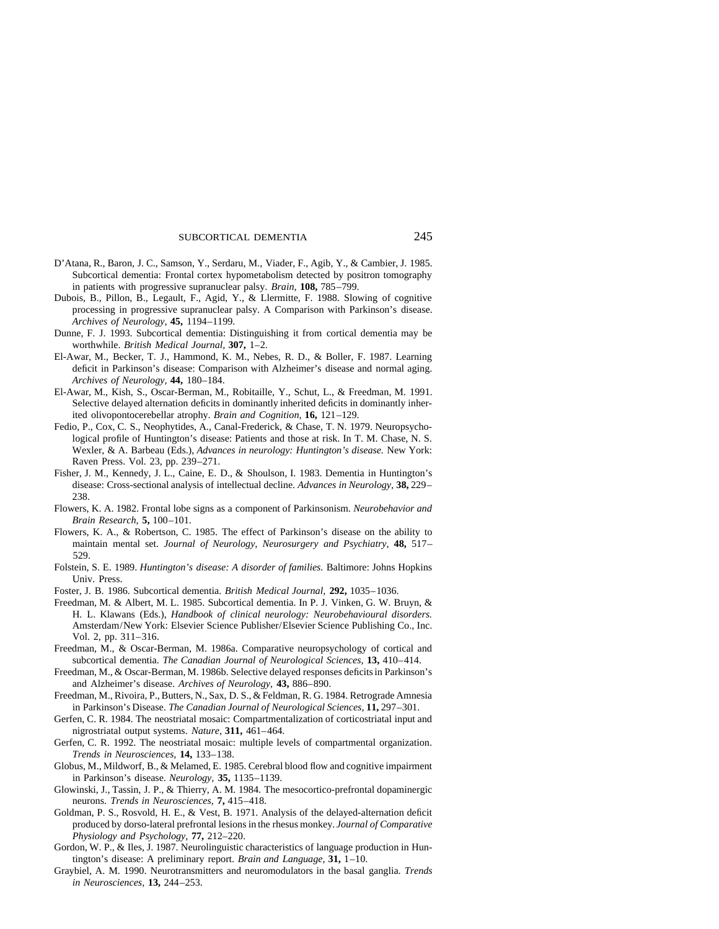- D'Atana, R., Baron, J. C., Samson, Y., Serdaru, M., Viader, F., Agib, Y., & Cambier, J. 1985. Subcortical dementia: Frontal cortex hypometabolism detected by positron tomography in patients with progressive supranuclear palsy. *Brain,* **108,** 785–799.
- Dubois, B., Pillon, B., Legault, F., Agid, Y., & Llermitte, F. 1988. Slowing of cognitive processing in progressive supranuclear palsy. A Comparison with Parkinson's disease. *Archives of Neurology,* **45,** 1194–1199.
- Dunne, F. J. 1993. Subcortical dementia: Distinguishing it from cortical dementia may be worthwhile. *British Medical Journal,* **307,** 1–2.
- El-Awar, M., Becker, T. J., Hammond, K. M., Nebes, R. D., & Boller, F. 1987. Learning deficit in Parkinson's disease: Comparison with Alzheimer's disease and normal aging. *Archives of Neurology,* **44,** 180–184.
- El-Awar, M., Kish, S., Oscar-Berman, M., Robitaille, Y., Schut, L., & Freedman, M. 1991. Selective delayed alternation deficits in dominantly inherited deficits in dominantly inherited olivopontocerebellar atrophy. *Brain and Cognition,* **16,** 121–129.
- Fedio, P., Cox, C. S., Neophytides, A., Canal-Frederick, & Chase, T. N. 1979. Neuropsychological profile of Huntington's disease: Patients and those at risk. In T. M. Chase, N. S. Wexler, & A. Barbeau (Eds.), *Advances in neurology: Huntington's disease.* New York: Raven Press. Vol. 23, pp. 239–271.
- Fisher, J. M., Kennedy, J. L., Caine, E. D., & Shoulson, I. 1983. Dementia in Huntington's disease: Cross-sectional analysis of intellectual decline. *Advances in Neurology,* **38,** 229– 238.
- Flowers, K. A. 1982. Frontal lobe signs as a component of Parkinsonism. *Neurobehavior and Brain Research,* **5,** 100–101.
- Flowers, K. A., & Robertson, C. 1985. The effect of Parkinson's disease on the ability to maintain mental set. *Journal of Neurology, Neurosurgery and Psychiatry,* **48,** 517– 529.
- Folstein, S. E. 1989. *Huntington's disease: A disorder of families.* Baltimore: Johns Hopkins Univ. Press.
- Foster, J. B. 1986. Subcortical dementia. *British Medical Journal,* **292,** 1035–1036.
- Freedman, M. & Albert, M. L. 1985. Subcortical dementia. In P. J. Vinken, G. W. Bruyn, & H. L. Klawans (Eds.), *Handbook of clinical neurology: Neurobehavioural disorders.* Amsterdam/New York: Elsevier Science Publisher/Elsevier Science Publishing Co., Inc. Vol. 2, pp. 311–316.
- Freedman, M., & Oscar-Berman, M. 1986a. Comparative neuropsychology of cortical and subcortical dementia. *The Canadian Journal of Neurological Sciences,* **13,** 410–414.
- Freedman, M., & Oscar-Berman, M. 1986b. Selective delayed responses deficits in Parkinson's and Alzheimer's disease. *Archives of Neurology,* **43,** 886–890.
- Freedman, M., Rivoira, P., Butters, N., Sax, D. S., & Feldman, R. G. 1984. Retrograde Amnesia in Parkinson's Disease. *The Canadian Journal of Neurological Sciences,* **11,** 297–301.
- Gerfen, C. R. 1984. The neostriatal mosaic: Compartmentalization of corticostriatal input and nigrostriatal output systems. *Nature,* **311,** 461–464.
- Gerfen, C. R. 1992. The neostriatal mosaic: multiple levels of compartmental organization. *Trends in Neurosciences,* **14,** 133–138.
- Globus, M., Mildworf, B., & Melamed, E. 1985. Cerebral blood flow and cognitive impairment in Parkinson's disease. *Neurology,* **35,** 1135–1139.
- Glowinski, J., Tassin, J. P., & Thierry, A. M. 1984. The mesocortico-prefrontal dopaminergic neurons. *Trends in Neurosciences,* **7,** 415–418.
- Goldman, P. S., Rosvold, H. E., & Vest, B. 1971. Analysis of the delayed-alternation deficit produced by dorso-lateral prefrontal lesions in the rhesus monkey. *Journal of Comparative Physiology and Psychology,* **77,** 212–220.
- Gordon, W. P., & Iles, J. 1987. Neurolinguistic characteristics of language production in Huntington's disease: A preliminary report. *Brain and Language,* **31,** 1–10.
- Graybiel, A. M. 1990. Neurotransmitters and neuromodulators in the basal ganglia. *Trends in Neurosciences,* **13,** 244–253.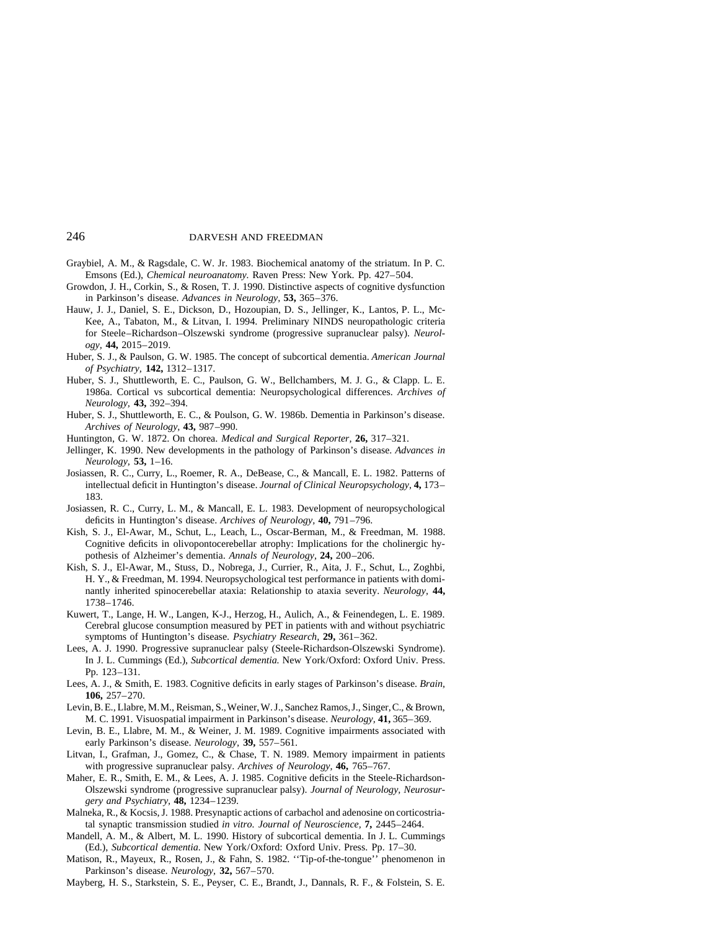- Graybiel, A. M., & Ragsdale, C. W. Jr. 1983. Biochemical anatomy of the striatum. In P. C. Emsons (Ed.), *Chemical neuroanatomy.* Raven Press: New York. Pp. 427–504.
- Growdon, J. H., Corkin, S., & Rosen, T. J. 1990. Distinctive aspects of cognitive dysfunction in Parkinson's disease. *Advances in Neurology,* **53,** 365–376.
- Hauw, J. J., Daniel, S. E., Dickson, D., Hozoupian, D. S., Jellinger, K., Lantos, P. L., Mc-Kee, A., Tabaton, M., & Litvan, I. 1994. Preliminary NINDS neuropathologic criteria for Steele–Richardson–Olszewski syndrome (progressive supranuclear palsy). *Neurology,* **44,** 2015–2019.
- Huber, S. J., & Paulson, G. W. 1985. The concept of subcortical dementia. *American Journal of Psychiatry,* **142,** 1312–1317.
- Huber, S. J., Shuttleworth, E. C., Paulson, G. W., Bellchambers, M. J. G., & Clapp. L. E. 1986a. Cortical vs subcortical dementia: Neuropsychological differences. *Archives of Neurology,* **43,** 392–394.
- Huber, S. J., Shuttleworth, E. C., & Poulson, G. W. 1986b. Dementia in Parkinson's disease. *Archives of Neurology,* **43,** 987–990.
- Huntington, G. W. 1872. On chorea. *Medical and Surgical Reporter,* **26,** 317–321.
- Jellinger, K. 1990. New developments in the pathology of Parkinson's disease. *Advances in Neurology,* **53,** 1–16.
- Josiassen, R. C., Curry, L., Roemer, R. A., DeBease, C., & Mancall, E. L. 1982. Patterns of intellectual deficit in Huntington's disease. *Journal of Clinical Neuropsychology,* **4,** 173– 183.
- Josiassen, R. C., Curry, L. M., & Mancall, E. L. 1983. Development of neuropsychological deficits in Huntington's disease. *Archives of Neurology,* **40,** 791–796.
- Kish, S. J., El-Awar, M., Schut, L., Leach, L., Oscar-Berman, M., & Freedman, M. 1988. Cognitive deficits in olivopontocerebellar atrophy: Implications for the cholinergic hypothesis of Alzheimer's dementia. *Annals of Neurology,* **24,** 200–206.
- Kish, S. J., El-Awar, M., Stuss, D., Nobrega, J., Currier, R., Aita, J. F., Schut, L., Zoghbi, H. Y., & Freedman, M. 1994. Neuropsychological test performance in patients with dominantly inherited spinocerebellar ataxia: Relationship to ataxia severity. *Neurology,* **44,** 1738–1746.
- Kuwert, T., Lange, H. W., Langen, K-J., Herzog, H., Aulich, A., & Feinendegen, L. E. 1989. Cerebral glucose consumption measured by PET in patients with and without psychiatric symptoms of Huntington's disease. *Psychiatry Research,* **29,** 361–362.
- Lees, A. J. 1990. Progressive supranuclear palsy (Steele-Richardson-Olszewski Syndrome). In J. L. Cummings (Ed.), *Subcortical dementia.* New York/Oxford: Oxford Univ. Press. Pp. 123–131.
- Lees, A. J., & Smith, E. 1983. Cognitive deficits in early stages of Parkinson's disease. *Brain,* **106,** 257–270.
- Levin, B. E., Llabre, M.M., Reisman, S.,Weiner, W. J., Sanchez Ramos, J., Singer,C., & Brown, M. C. 1991. Visuospatial impairment in Parkinson's disease. *Neurology,* **41,** 365–369.
- Levin, B. E., Llabre, M. M., & Weiner, J. M. 1989. Cognitive impairments associated with early Parkinson's disease. *Neurology,* **39,** 557–561.
- Litvan, I., Grafman, J., Gomez, C., & Chase, T. N. 1989. Memory impairment in patients with progressive supranuclear palsy. *Archives of Neurology,* **46,** 765–767.
- Maher, E. R., Smith, E. M., & Lees, A. J. 1985. Cognitive deficits in the Steele-Richardson-Olszewski syndrome (progressive supranuclear palsy). *Journal of Neurology, Neurosurgery and Psychiatry,* **48,** 1234–1239.
- Malneka, R., & Kocsis, J. 1988. Presynaptic actions of carbachol and adenosine on corticostriatal synaptic transmission studied *in vitro. Journal of Neuroscience,* **7,** 2445–2464.
- Mandell, A. M., & Albert, M. L. 1990. History of subcortical dementia. In J. L. Cummings (Ed.), *Subcortical dementia.* New York/Oxford: Oxford Univ. Press. Pp. 17–30.
- Matison, R., Mayeux, R., Rosen, J., & Fahn, S. 1982. ''Tip-of-the-tongue'' phenomenon in Parkinson's disease. *Neurology,* **32,** 567–570.
- Mayberg, H. S., Starkstein, S. E., Peyser, C. E., Brandt, J., Dannals, R. F., & Folstein, S. E.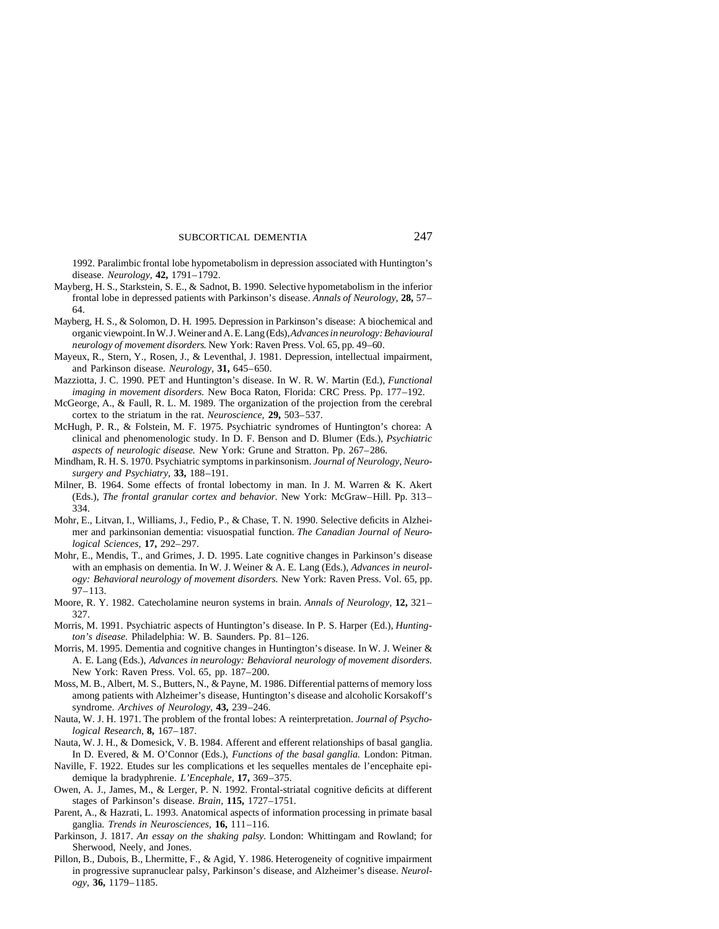1992. Paralimbic frontal lobe hypometabolism in depression associated with Huntington's disease. *Neurology,* **42,** 1791–1792.

- Mayberg, H. S., Starkstein, S. E., & Sadnot, B. 1990. Selective hypometabolism in the inferior frontal lobe in depressed patients with Parkinson's disease. *Annals of Neurology,* **28,** 57– 64.
- Mayberg, H. S., & Solomon, D. H. 1995. Depression in Parkinson's disease: A biochemical and organic viewpoint.In W.J. Weiner and A. E. Lang (Eds),*Advances in neurology: Behavioural neurology of movement disorders.* New York: Raven Press. Vol. 65, pp. 49–60.
- Mayeux, R., Stern, Y., Rosen, J., & Leventhal, J. 1981. Depression, intellectual impairment, and Parkinson disease. *Neurology,* **31,** 645–650.
- Mazziotta, J. C. 1990. PET and Huntington's disease. In W. R. W. Martin (Ed.), *Functional imaging in movement disorders.* New Boca Raton, Florida: CRC Press. Pp. 177–192.
- McGeorge, A., & Faull, R. L. M. 1989. The organization of the projection from the cerebral cortex to the striatum in the rat. *Neuroscience,* **29,** 503–537.
- McHugh, P. R., & Folstein, M. F. 1975. Psychiatric syndromes of Huntington's chorea: A clinical and phenomenologic study. In D. F. Benson and D. Blumer (Eds.), *Psychiatric aspects of neurologic disease.* New York: Grune and Stratton. Pp. 267–286.
- Mindham, R. H. S. 1970. Psychiatric symptoms in parkinsonism. *Journal of Neurology, Neurosurgery and Psychiatry,* **33,** 188–191.
- Milner, B. 1964. Some effects of frontal lobectomy in man. In J. M. Warren & K. Akert (Eds.), *The frontal granular cortex and behavior.* New York: McGraw–Hill. Pp. 313– 334.
- Mohr, E., Litvan, I., Williams, J., Fedio, P., & Chase, T. N. 1990. Selective deficits in Alzheimer and parkinsonian dementia: visuospatial function. *The Canadian Journal of Neurological Sciences,* **17,** 292–297.
- Mohr, E., Mendis, T., and Grimes, J. D. 1995. Late cognitive changes in Parkinson's disease with an emphasis on dementia. In W. J. Weiner & A. E. Lang (Eds.), *Advances in neurology: Behavioral neurology of movement disorders.* New York: Raven Press. Vol. 65, pp. 97–113.
- Moore, R. Y. 1982. Catecholamine neuron systems in brain. *Annals of Neurology,* **12,** 321– 327.
- Morris, M. 1991. Psychiatric aspects of Huntington's disease. In P. S. Harper (Ed.), *Huntington's disease.* Philadelphia: W. B. Saunders. Pp. 81–126.
- Morris, M. 1995. Dementia and cognitive changes in Huntington's disease. In W. J. Weiner & A. E. Lang (Eds.), *Advances in neurology: Behavioral neurology of movement disorders.* New York: Raven Press. Vol. 65, pp. 187–200.
- Moss, M. B., Albert, M. S., Butters, N., & Payne, M. 1986. Differential patterns of memory loss among patients with Alzheimer's disease, Huntington's disease and alcoholic Korsakoff's syndrome. *Archives of Neurology,* **43,** 239–246.
- Nauta, W. J. H. 1971. The problem of the frontal lobes: A reinterpretation. *Journal of Psychological Research,* **8,** 167–187.
- Nauta, W. J. H., & Domesick, V. B. 1984. Afferent and efferent relationships of basal ganglia. In D. Evered, & M. O'Connor (Eds.), *Functions of the basal ganglia.* London: Pitman.
- Naville, F. 1922. Etudes sur les complications et les sequelles mentales de l'encephaite epidemique la bradyphrenie. *L'Encephale,* **17,** 369–375.
- Owen, A. J., James, M., & Lerger, P. N. 1992. Frontal-striatal cognitive deficits at different stages of Parkinson's disease. *Brain,* **115,** 1727–1751.
- Parent, A., & Hazrati, L. 1993. Anatomical aspects of information processing in primate basal ganglia. *Trends in Neurosciences,* **16,** 111–116.
- Parkinson, J. 1817. *An essay on the shaking palsy.* London: Whittingam and Rowland; for Sherwood, Neely, and Jones.
- Pillon, B., Dubois, B., Lhermitte, F., & Agid, Y. 1986. Heterogeneity of cognitive impairment in progressive supranuclear palsy, Parkinson's disease, and Alzheimer's disease. *Neurology,* **36,** 1179–1185.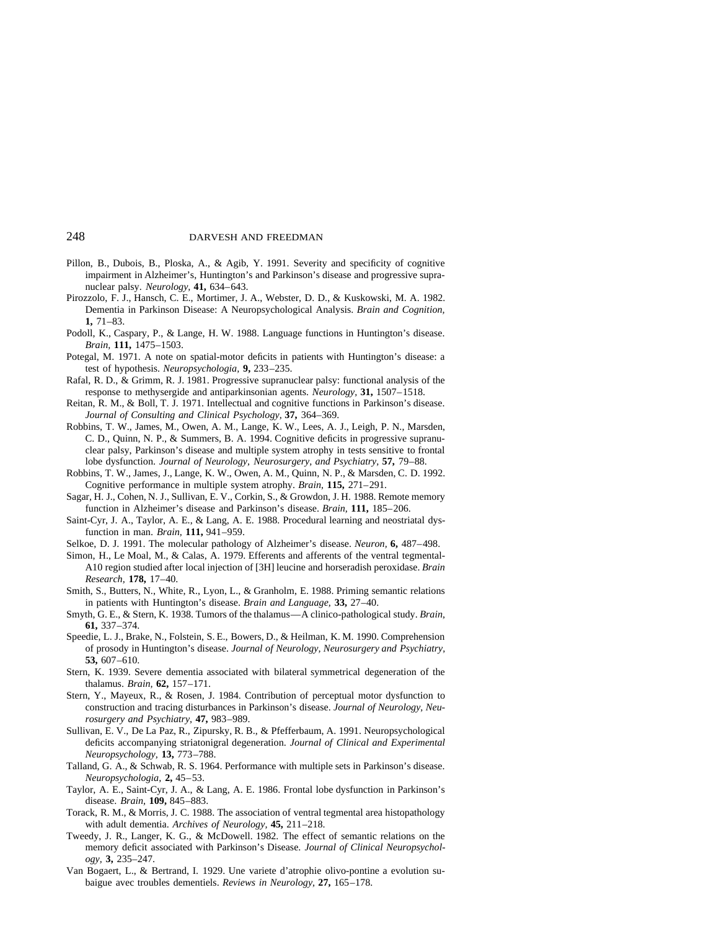- Pillon, B., Dubois, B., Ploska, A., & Agib, Y. 1991. Severity and specificity of cognitive impairment in Alzheimer's, Huntington's and Parkinson's disease and progressive supranuclear palsy. *Neurology,* **41,** 634–643.
- Pirozzolo, F. J., Hansch, C. E., Mortimer, J. A., Webster, D. D., & Kuskowski, M. A. 1982. Dementia in Parkinson Disease: A Neuropsychological Analysis. *Brain and Cognition,* **1,** 71–83.
- Podoll, K., Caspary, P., & Lange, H. W. 1988. Language functions in Huntington's disease. *Brain,* **111,** 1475–1503.
- Potegal, M. 1971. A note on spatial-motor deficits in patients with Huntington's disease: a test of hypothesis. *Neuropsychologia,* **9,** 233–235.
- Rafal, R. D., & Grimm, R. J. 1981. Progressive supranuclear palsy: functional analysis of the response to methysergide and antiparkinsonian agents. *Neurology,* **31,** 1507–1518.
- Reitan, R. M., & Boll, T. J. 1971. Intellectual and cognitive functions in Parkinson's disease. *Journal of Consulting and Clinical Psychology,* **37,** 364–369.
- Robbins, T. W., James, M., Owen, A. M., Lange, K. W., Lees, A. J., Leigh, P. N., Marsden, C. D., Quinn, N. P., & Summers, B. A. 1994. Cognitive deficits in progressive supranuclear palsy, Parkinson's disease and multiple system atrophy in tests sensitive to frontal lobe dysfunction. *Journal of Neurology, Neurosurgery, and Psychiatry,* **57,** 79–88.
- Robbins, T. W., James, J., Lange, K. W., Owen, A. M., Quinn, N. P., & Marsden, C. D. 1992. Cognitive performance in multiple system atrophy. *Brain,* **115,** 271–291.
- Sagar, H. J., Cohen, N. J., Sullivan, E. V., Corkin, S., & Growdon, J. H. 1988. Remote memory function in Alzheimer's disease and Parkinson's disease. *Brain,* **111,** 185–206.
- Saint-Cyr, J. A., Taylor, A. E., & Lang, A. E. 1988. Procedural learning and neostriatal dysfunction in man. *Brain,* **111,** 941–959.
- Selkoe, D. J. 1991. The molecular pathology of Alzheimer's disease. *Neuron,* **6,** 487–498.
- Simon, H., Le Moal, M., & Calas, A. 1979. Efferents and afferents of the ventral tegmental-A10 region studied after local injection of [3H] leucine and horseradish peroxidase. *Brain Research,* **178,** 17–40.
- Smith, S., Butters, N., White, R., Lyon, L., & Granholm, E. 1988. Priming semantic relations in patients with Huntington's disease. *Brain and Language,* **33,** 27–40.
- Smyth, G. E., & Stern, K. 1938. Tumors of the thalamus—A clinico-pathological study. *Brain,* **61,** 337–374.
- Speedie, L. J., Brake, N., Folstein, S. E., Bowers, D., & Heilman, K. M. 1990. Comprehension of prosody in Huntington's disease. *Journal of Neurology, Neurosurgery and Psychiatry,* **53,** 607–610.
- Stern, K. 1939. Severe dementia associated with bilateral symmetrical degeneration of the thalamus. *Brain,* **62,** 157–171.
- Stern, Y., Mayeux, R., & Rosen, J. 1984. Contribution of perceptual motor dysfunction to construction and tracing disturbances in Parkinson's disease. *Journal of Neurology, Neurosurgery and Psychiatry,* **47,** 983–989.
- Sullivan, E. V., De La Paz, R., Zipursky, R. B., & Pfefferbaum, A. 1991. Neuropsychological deficits accompanying striatonigral degeneration. *Journal of Clinical and Experimental Neuropsychology,* **13,** 773–788.
- Talland, G. A., & Schwab, R. S. 1964. Performance with multiple sets in Parkinson's disease. *Neuropsychologia,* **2,** 45–53.
- Taylor, A. E., Saint-Cyr, J. A., & Lang, A. E. 1986. Frontal lobe dysfunction in Parkinson's disease. *Brain,* **109,** 845–883.
- Torack, R. M., & Morris, J. C. 1988. The association of ventral tegmental area histopathology with adult dementia. *Archives of Neurology,* **45,** 211–218.
- Tweedy, J. R., Langer, K. G., & McDowell. 1982. The effect of semantic relations on the memory deficit associated with Parkinson's Disease. *Journal of Clinical Neuropsychology,* **3,** 235–247.
- Van Bogaert, L., & Bertrand, I. 1929. Une variete d'atrophie olivo-pontine a evolution subaigue avec troubles dementiels. *Reviews in Neurology,* **27,** 165–178.